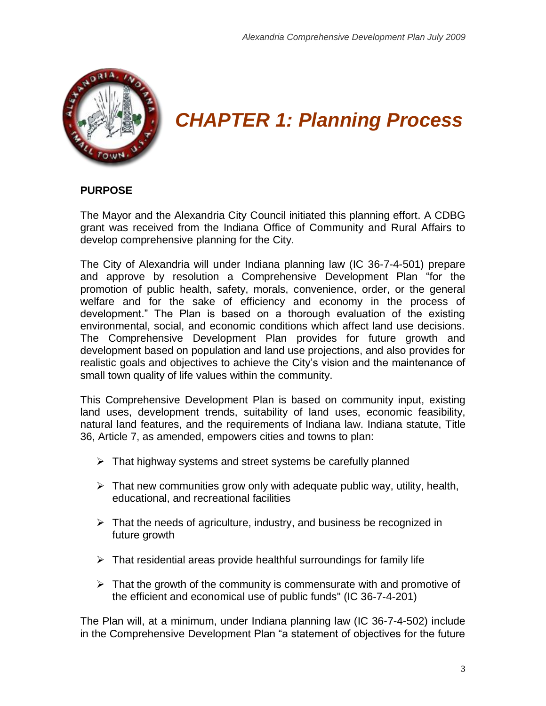

# *CHAPTER 1: Planning Process*

# **PURPOSE**

The Mayor and the Alexandria City Council initiated this planning effort. A CDBG grant was received from the Indiana Office of Community and Rural Affairs to develop comprehensive planning for the City.

The City of Alexandria will under Indiana planning law (IC 36-7-4-501) prepare and approve by resolution a Comprehensive Development Plan "for the promotion of public health, safety, morals, convenience, order, or the general welfare and for the sake of efficiency and economy in the process of development." The Plan is based on a thorough evaluation of the existing environmental, social, and economic conditions which affect land use decisions. The Comprehensive Development Plan provides for future growth and development based on population and land use projections, and also provides for realistic goals and objectives to achieve the City"s vision and the maintenance of small town quality of life values within the community.

This Comprehensive Development Plan is based on community input, existing land uses, development trends, suitability of land uses, economic feasibility, natural land features, and the requirements of Indiana law. Indiana statute, Title 36, Article 7, as amended, empowers cities and towns to plan:

- $\triangleright$  That highway systems and street systems be carefully planned
- $\triangleright$  That new communities grow only with adequate public way, utility, health, educational, and recreational facilities
- $\triangleright$  That the needs of agriculture, industry, and business be recognized in future growth
- $\triangleright$  That residential areas provide healthful surroundings for family life
- $\triangleright$  That the growth of the community is commensurate with and promotive of the efficient and economical use of public funds" (IC 36-7-4-201)

The Plan will, at a minimum, under Indiana planning law (IC 36-7-4-502) include in the Comprehensive Development Plan "a statement of objectives for the future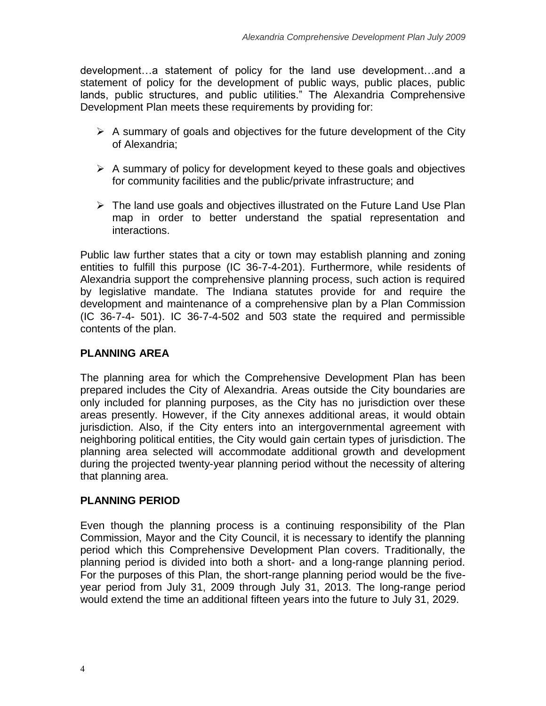development…a statement of policy for the land use development…and a statement of policy for the development of public ways, public places, public lands, public structures, and public utilities." The Alexandria Comprehensive Development Plan meets these requirements by providing for:

- $\triangleright$  A summary of goals and objectives for the future development of the City of Alexandria;
- $\triangleright$  A summary of policy for development keyed to these goals and objectives for community facilities and the public/private infrastructure; and
- $\triangleright$  The land use goals and objectives illustrated on the Future Land Use Plan map in order to better understand the spatial representation and interactions.

Public law further states that a city or town may establish planning and zoning entities to fulfill this purpose (IC 36-7-4-201). Furthermore, while residents of Alexandria support the comprehensive planning process, such action is required by legislative mandate. The Indiana statutes provide for and require the development and maintenance of a comprehensive plan by a Plan Commission (IC 36-7-4- 501). IC 36-7-4-502 and 503 state the required and permissible contents of the plan.

# **PLANNING AREA**

The planning area for which the Comprehensive Development Plan has been prepared includes the City of Alexandria. Areas outside the City boundaries are only included for planning purposes, as the City has no jurisdiction over these areas presently. However, if the City annexes additional areas, it would obtain jurisdiction. Also, if the City enters into an intergovernmental agreement with neighboring political entities, the City would gain certain types of jurisdiction. The planning area selected will accommodate additional growth and development during the projected twenty-year planning period without the necessity of altering that planning area.

# **PLANNING PERIOD**

Even though the planning process is a continuing responsibility of the Plan Commission, Mayor and the City Council, it is necessary to identify the planning period which this Comprehensive Development Plan covers. Traditionally, the planning period is divided into both a short- and a long-range planning period. For the purposes of this Plan, the short-range planning period would be the fiveyear period from July 31, 2009 through July 31, 2013. The long-range period would extend the time an additional fifteen years into the future to July 31, 2029.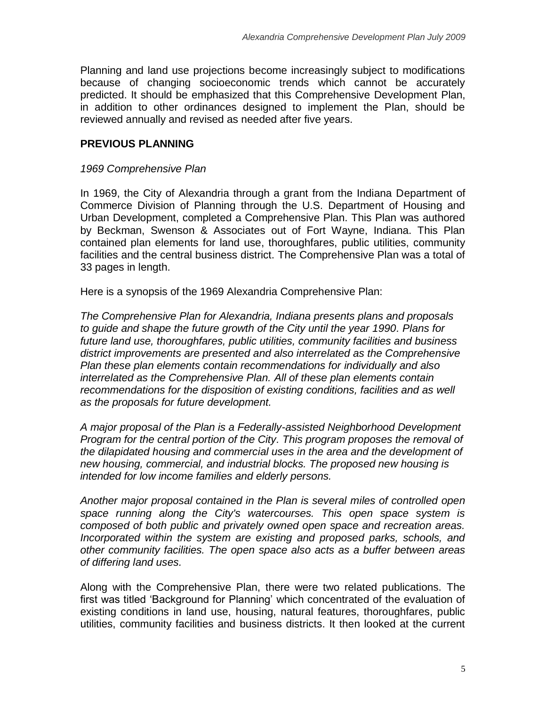Planning and land use projections become increasingly subject to modifications because of changing socioeconomic trends which cannot be accurately predicted. It should be emphasized that this Comprehensive Development Plan, in addition to other ordinances designed to implement the Plan, should be reviewed annually and revised as needed after five years.

# **PREVIOUS PLANNING**

#### *1969 Comprehensive Plan*

In 1969, the City of Alexandria through a grant from the Indiana Department of Commerce Division of Planning through the U.S. Department of Housing and Urban Development, completed a Comprehensive Plan. This Plan was authored by Beckman, Swenson & Associates out of Fort Wayne, Indiana. This Plan contained plan elements for land use, thoroughfares, public utilities, community facilities and the central business district. The Comprehensive Plan was a total of 33 pages in length.

Here is a synopsis of the 1969 Alexandria Comprehensive Plan:

*The Comprehensive Plan for Alexandria, Indiana presents plans and proposals to guide and shape the future growth of the City until the year 1990. Plans for future land use, thoroughfares, public utilities, community facilities and business district improvements are presented and also interrelated as the Comprehensive Plan these plan elements contain recommendations for individually and also interrelated as the Comprehensive Plan. All of these plan elements contain recommendations for the disposition of existing conditions, facilities and as well as the proposals for future development.*

*A major proposal of the Plan is a Federally-assisted Neighborhood Development Program for the central portion of the City. This program proposes the removal of the dilapidated housing and commercial uses in the area and the development of new housing, commercial, and industrial blocks. The proposed new housing is intended for low income families and elderly persons.*

*Another major proposal contained in the Plan is several miles of controlled open space running along the City's watercourses. This open space system is composed of both public and privately owned open space and recreation areas. Incorporated within the system are existing and proposed parks, schools, and other community facilities. The open space also acts as a buffer between areas of differing land uses.*

Along with the Comprehensive Plan, there were two related publications. The first was titled "Background for Planning" which concentrated of the evaluation of existing conditions in land use, housing, natural features, thoroughfares, public utilities, community facilities and business districts. It then looked at the current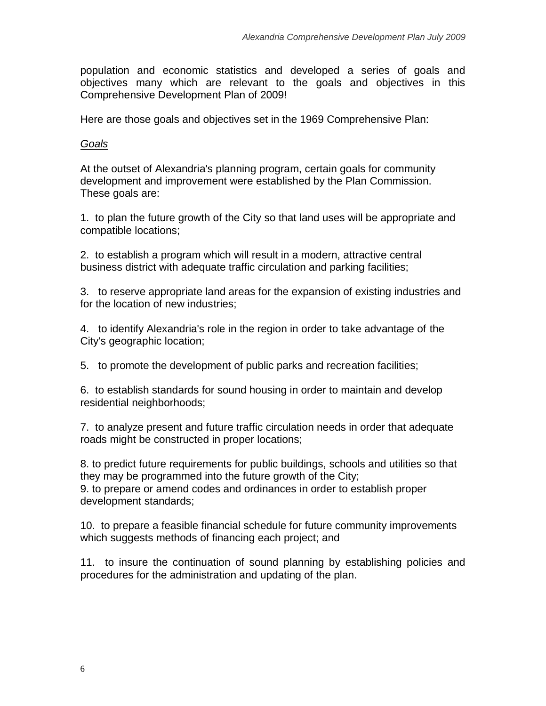population and economic statistics and developed a series of goals and objectives many which are relevant to the goals and objectives in this Comprehensive Development Plan of 2009!

Here are those goals and objectives set in the 1969 Comprehensive Plan:

# *Goals*

At the outset of Alexandria's planning program, certain goals for community development and improvement were established by the Plan Commission. These goals are:

1. to plan the future growth of the City so that land uses will be appropriate and compatible locations;

2. to establish a program which will result in a modern, attractive central business district with adequate traffic circulation and parking facilities;

3. to reserve appropriate land areas for the expansion of existing industries and for the location of new industries;

4. to identify Alexandria's role in the region in order to take advantage of the City's geographic location;

5. to promote the development of public parks and recreation facilities;

6. to establish standards for sound housing in order to maintain and develop residential neighborhoods;

7. to analyze present and future traffic circulation needs in order that adequate roads might be constructed in proper locations;

8. to predict future requirements for public buildings, schools and utilities so that they may be programmed into the future growth of the City; 9. to prepare or amend codes and ordinances in order to establish proper development standards;

10. to prepare a feasible financial schedule for future community improvements which suggests methods of financing each project; and

11. to insure the continuation of sound planning by establishing policies and procedures for the administration and updating of the plan.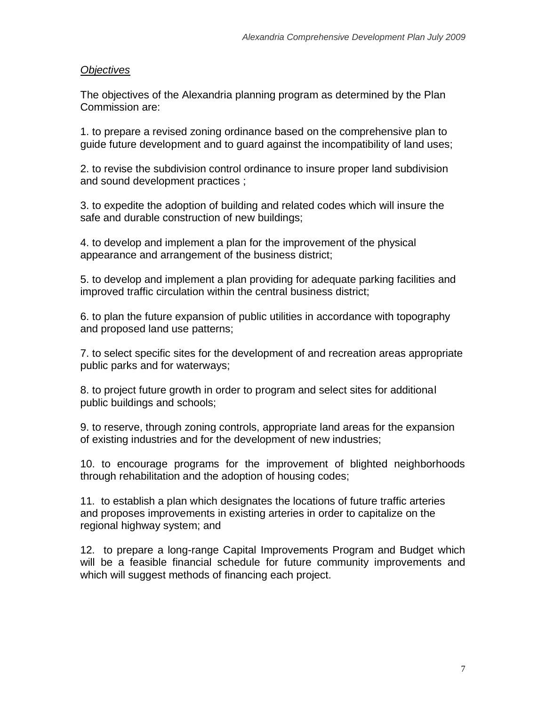## *Objectives*

The objectives of the Alexandria planning program as determined by the Plan Commission are:

1. to prepare a revised zoning ordinance based on the comprehensive plan to guide future development and to guard against the incompatibility of land uses;

2. to revise the subdivision control ordinance to insure proper land subdivision and sound development practices ;

3. to expedite the adoption of building and related codes which will insure the safe and durable construction of new buildings;

4. to develop and implement a plan for the improvement of the physical appearance and arrangement of the business district;

5. to develop and implement a plan providing for adequate parking facilities and improved traffic circulation within the central business district;

6. to plan the future expansion of public utilities in accordance with topography and proposed land use patterns;

7. to select specific sites for the development of and recreation areas appropriate public parks and for waterways;

8. to project future growth in order to program and select sites for additional public buildings and schools;

9. to reserve, through zoning controls, appropriate land areas for the expansion of existing industries and for the development of new industries;

10. to encourage programs for the improvement of blighted neighborhoods through rehabilitation and the adoption of housing codes;

11. to establish a plan which designates the locations of future traffic arteries and proposes improvements in existing arteries in order to capitalize on the regional highway system; and

12. to prepare a long-range Capital Improvements Program and Budget which will be a feasible financial schedule for future community improvements and which will suggest methods of financing each project.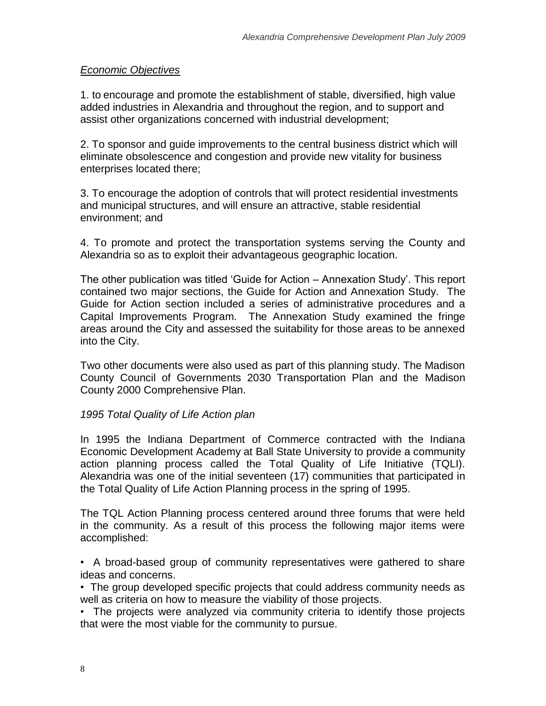## *Economic Objectives*

1. to encourage and promote the establishment of stable, diversified, high value added industries in Alexandria and throughout the region, and to support and assist other organizations concerned with industrial development;

2. To sponsor and guide improvements to the central business district which will eliminate obsolescence and congestion and provide new vitality for business enterprises located there;

3. To encourage the adoption of controls that will protect residential investments and municipal structures, and will ensure an attractive, stable residential environment; and

4. To promote and protect the transportation systems serving the County and Alexandria so as to exploit their advantageous geographic location.

The other publication was titled "Guide for Action – Annexation Study". This report contained two major sections, the Guide for Action and Annexation Study. The Guide for Action section included a series of administrative procedures and a Capital Improvements Program. The Annexation Study examined the fringe areas around the City and assessed the suitability for those areas to be annexed into the City.

Two other documents were also used as part of this planning study. The Madison County Council of Governments 2030 Transportation Plan and the Madison County 2000 Comprehensive Plan.

## *1995 Total Quality of Life Action plan*

In 1995 the Indiana Department of Commerce contracted with the Indiana Economic Development Academy at Ball State University to provide a community action planning process called the Total Quality of Life Initiative (TQLI). Alexandria was one of the initial seventeen (17) communities that participated in the Total Quality of Life Action Planning process in the spring of 1995.

The TQL Action Planning process centered around three forums that were held in the community. As a result of this process the following major items were accomplished:

• A broad-based group of community representatives were gathered to share ideas and concerns.

• The group developed specific projects that could address community needs as well as criteria on how to measure the viability of those projects.

• The projects were analyzed via community criteria to identify those projects that were the most viable for the community to pursue.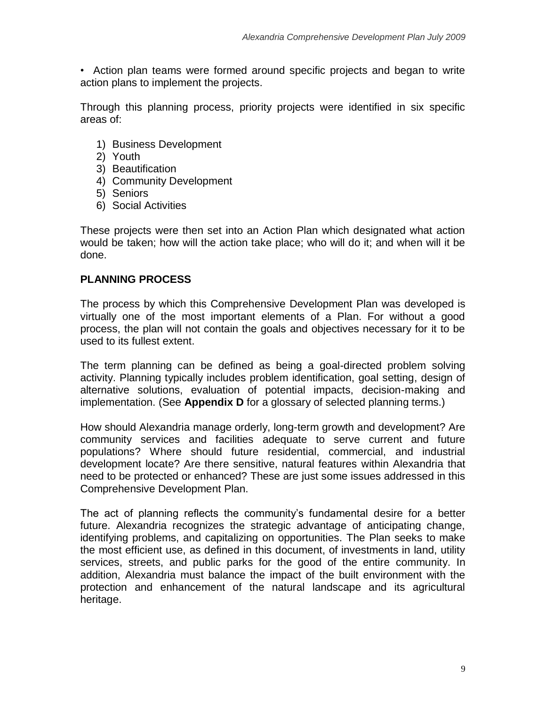• Action plan teams were formed around specific projects and began to write action plans to implement the projects.

Through this planning process, priority projects were identified in six specific areas of:

- 1) Business Development
- 2) Youth
- 3) Beautification
- 4) Community Development
- 5) Seniors
- 6) Social Activities

These projects were then set into an Action Plan which designated what action would be taken; how will the action take place; who will do it; and when will it be done.

# **PLANNING PROCESS**

The process by which this Comprehensive Development Plan was developed is virtually one of the most important elements of a Plan. For without a good process, the plan will not contain the goals and objectives necessary for it to be used to its fullest extent.

The term planning can be defined as being a goal-directed problem solving activity. Planning typically includes problem identification, goal setting, design of alternative solutions, evaluation of potential impacts, decision-making and implementation. (See **Appendix D** for a glossary of selected planning terms.)

How should Alexandria manage orderly, long-term growth and development? Are community services and facilities adequate to serve current and future populations? Where should future residential, commercial, and industrial development locate? Are there sensitive, natural features within Alexandria that need to be protected or enhanced? These are just some issues addressed in this Comprehensive Development Plan.

The act of planning reflects the community's fundamental desire for a better future. Alexandria recognizes the strategic advantage of anticipating change, identifying problems, and capitalizing on opportunities. The Plan seeks to make the most efficient use, as defined in this document, of investments in land, utility services, streets, and public parks for the good of the entire community. In addition, Alexandria must balance the impact of the built environment with the protection and enhancement of the natural landscape and its agricultural heritage.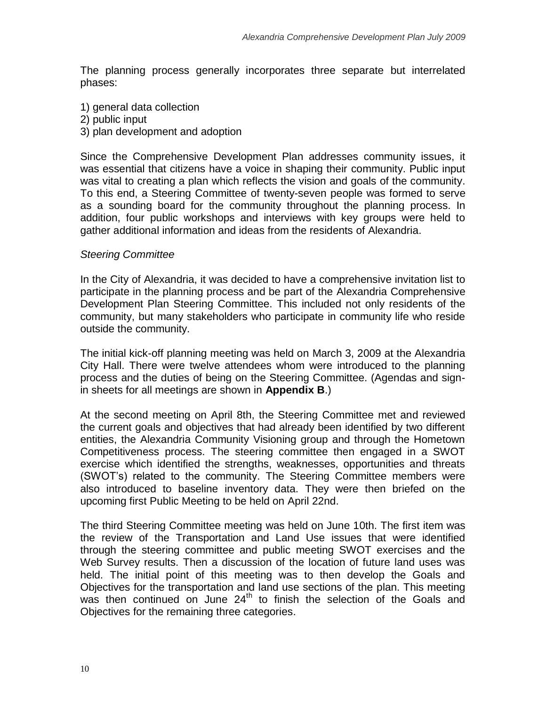The planning process generally incorporates three separate but interrelated phases:

- 1) general data collection
- 2) public input
- 3) plan development and adoption

Since the Comprehensive Development Plan addresses community issues, it was essential that citizens have a voice in shaping their community. Public input was vital to creating a plan which reflects the vision and goals of the community. To this end, a Steering Committee of twenty-seven people was formed to serve as a sounding board for the community throughout the planning process. In addition, four public workshops and interviews with key groups were held to gather additional information and ideas from the residents of Alexandria.

#### *Steering Committee*

In the City of Alexandria, it was decided to have a comprehensive invitation list to participate in the planning process and be part of the Alexandria Comprehensive Development Plan Steering Committee. This included not only residents of the community, but many stakeholders who participate in community life who reside outside the community.

The initial kick-off planning meeting was held on March 3, 2009 at the Alexandria City Hall. There were twelve attendees whom were introduced to the planning process and the duties of being on the Steering Committee. (Agendas and signin sheets for all meetings are shown in **Appendix B**.)

At the second meeting on April 8th, the Steering Committee met and reviewed the current goals and objectives that had already been identified by two different entities, the Alexandria Community Visioning group and through the Hometown Competitiveness process. The steering committee then engaged in a SWOT exercise which identified the strengths, weaknesses, opportunities and threats (SWOT"s) related to the community. The Steering Committee members were also introduced to baseline inventory data. They were then briefed on the upcoming first Public Meeting to be held on April 22nd.

The third Steering Committee meeting was held on June 10th. The first item was the review of the Transportation and Land Use issues that were identified through the steering committee and public meeting SWOT exercises and the Web Survey results. Then a discussion of the location of future land uses was held. The initial point of this meeting was to then develop the Goals and Objectives for the transportation and land use sections of the plan. This meeting was then continued on June 24<sup>th</sup> to finish the selection of the Goals and Objectives for the remaining three categories.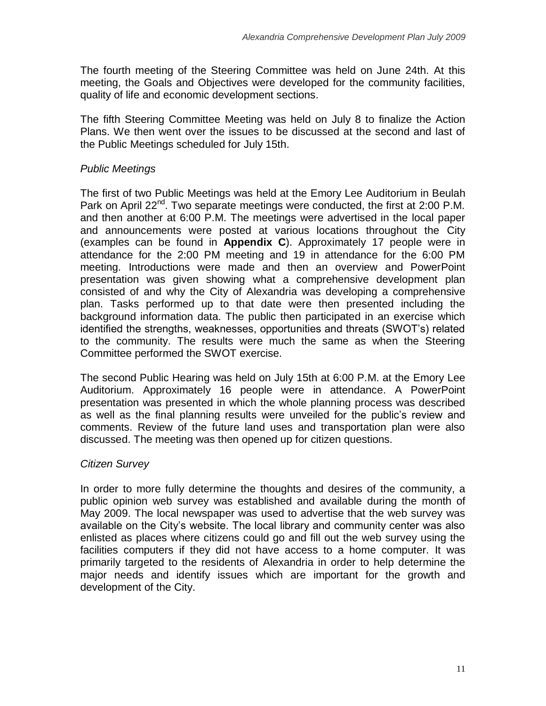The fourth meeting of the Steering Committee was held on June 24th. At this meeting, the Goals and Objectives were developed for the community facilities, quality of life and economic development sections.

The fifth Steering Committee Meeting was held on July 8 to finalize the Action Plans. We then went over the issues to be discussed at the second and last of the Public Meetings scheduled for July 15th.

# *Public Meetings*

The first of two Public Meetings was held at the Emory Lee Auditorium in Beulah Park on April 22 $^{\text{nd}}$ . Two separate meetings were conducted, the first at 2:00 P.M. and then another at 6:00 P.M. The meetings were advertised in the local paper and announcements were posted at various locations throughout the City (examples can be found in **Appendix C**). Approximately 17 people were in attendance for the 2:00 PM meeting and 19 in attendance for the 6:00 PM meeting. Introductions were made and then an overview and PowerPoint presentation was given showing what a comprehensive development plan consisted of and why the City of Alexandria was developing a comprehensive plan. Tasks performed up to that date were then presented including the background information data. The public then participated in an exercise which identified the strengths, weaknesses, opportunities and threats (SWOT"s) related to the community. The results were much the same as when the Steering Committee performed the SWOT exercise.

The second Public Hearing was held on July 15th at 6:00 P.M. at the Emory Lee Auditorium. Approximately 16 people were in attendance. A PowerPoint presentation was presented in which the whole planning process was described as well as the final planning results were unveiled for the public"s review and comments. Review of the future land uses and transportation plan were also discussed. The meeting was then opened up for citizen questions.

# *Citizen Survey*

In order to more fully determine the thoughts and desires of the community, a public opinion web survey was established and available during the month of May 2009. The local newspaper was used to advertise that the web survey was available on the City"s website. The local library and community center was also enlisted as places where citizens could go and fill out the web survey using the facilities computers if they did not have access to a home computer. It was primarily targeted to the residents of Alexandria in order to help determine the major needs and identify issues which are important for the growth and development of the City.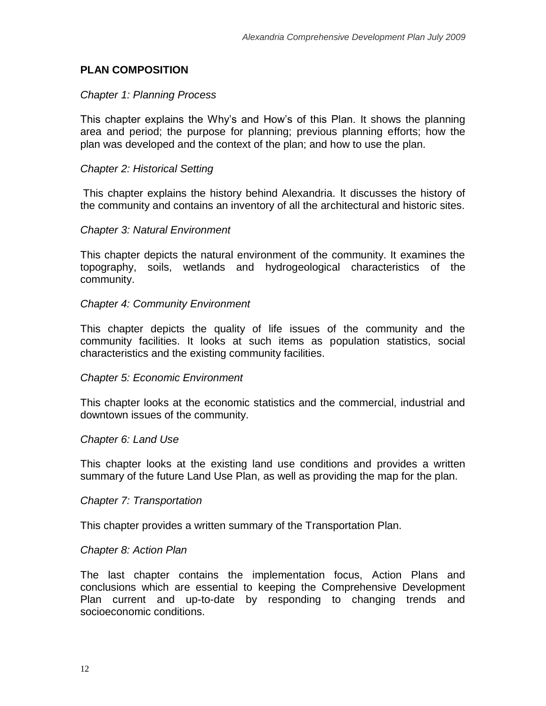# **PLAN COMPOSITION**

#### *Chapter 1: Planning Process*

This chapter explains the Why"s and How"s of this Plan. It shows the planning area and period; the purpose for planning; previous planning efforts; how the plan was developed and the context of the plan; and how to use the plan.

#### *Chapter 2: Historical Setting*

This chapter explains the history behind Alexandria. It discusses the history of the community and contains an inventory of all the architectural and historic sites.

#### *Chapter 3: Natural Environment*

This chapter depicts the natural environment of the community. It examines the topography, soils, wetlands and hydrogeological characteristics of the community.

#### *Chapter 4: Community Environment*

This chapter depicts the quality of life issues of the community and the community facilities. It looks at such items as population statistics, social characteristics and the existing community facilities.

#### *Chapter 5: Economic Environment*

This chapter looks at the economic statistics and the commercial, industrial and downtown issues of the community.

#### *Chapter 6: Land Use*

This chapter looks at the existing land use conditions and provides a written summary of the future Land Use Plan, as well as providing the map for the plan.

#### *Chapter 7: Transportation*

This chapter provides a written summary of the Transportation Plan.

#### *Chapter 8: Action Plan*

The last chapter contains the implementation focus, Action Plans and conclusions which are essential to keeping the Comprehensive Development Plan current and up-to-date by responding to changing trends and socioeconomic conditions.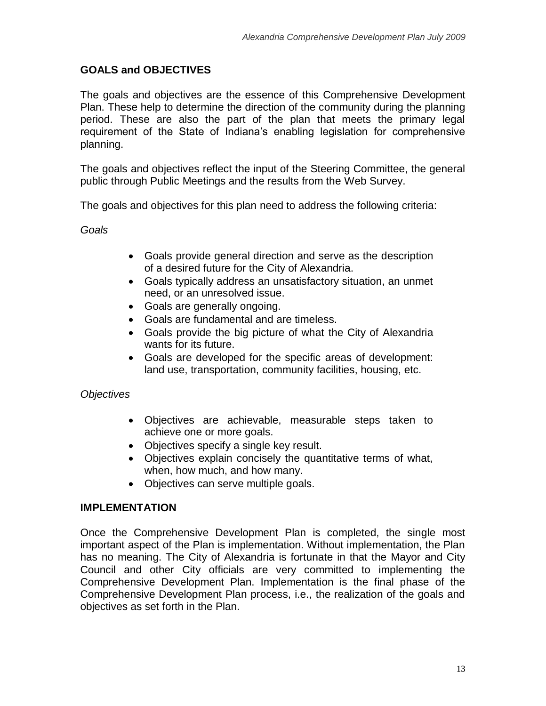## **GOALS and OBJECTIVES**

The goals and objectives are the essence of this Comprehensive Development Plan. These help to determine the direction of the community during the planning period. These are also the part of the plan that meets the primary legal requirement of the State of Indiana"s enabling legislation for comprehensive planning.

The goals and objectives reflect the input of the Steering Committee, the general public through Public Meetings and the results from the Web Survey.

The goals and objectives for this plan need to address the following criteria:

*Goals* 

- Goals provide general direction and serve as the description of a desired future for the City of Alexandria.
- Goals typically address an unsatisfactory situation, an unmet need, or an unresolved issue.
- Goals are generally ongoing.
- Goals are fundamental and are timeless.
- Goals provide the big picture of what the City of Alexandria wants for its future.
- Goals are developed for the specific areas of development: land use, transportation, community facilities, housing, etc.

## *Objectives*

- Objectives are achievable, measurable steps taken to achieve one or more goals.
- Objectives specify a single key result.
- Objectives explain concisely the quantitative terms of what, when, how much, and how many.
- Objectives can serve multiple goals.

## **IMPLEMENTATION**

Once the Comprehensive Development Plan is completed, the single most important aspect of the Plan is implementation. Without implementation, the Plan has no meaning. The City of Alexandria is fortunate in that the Mayor and City Council and other City officials are very committed to implementing the Comprehensive Development Plan. Implementation is the final phase of the Comprehensive Development Plan process, i.e., the realization of the goals and objectives as set forth in the Plan.